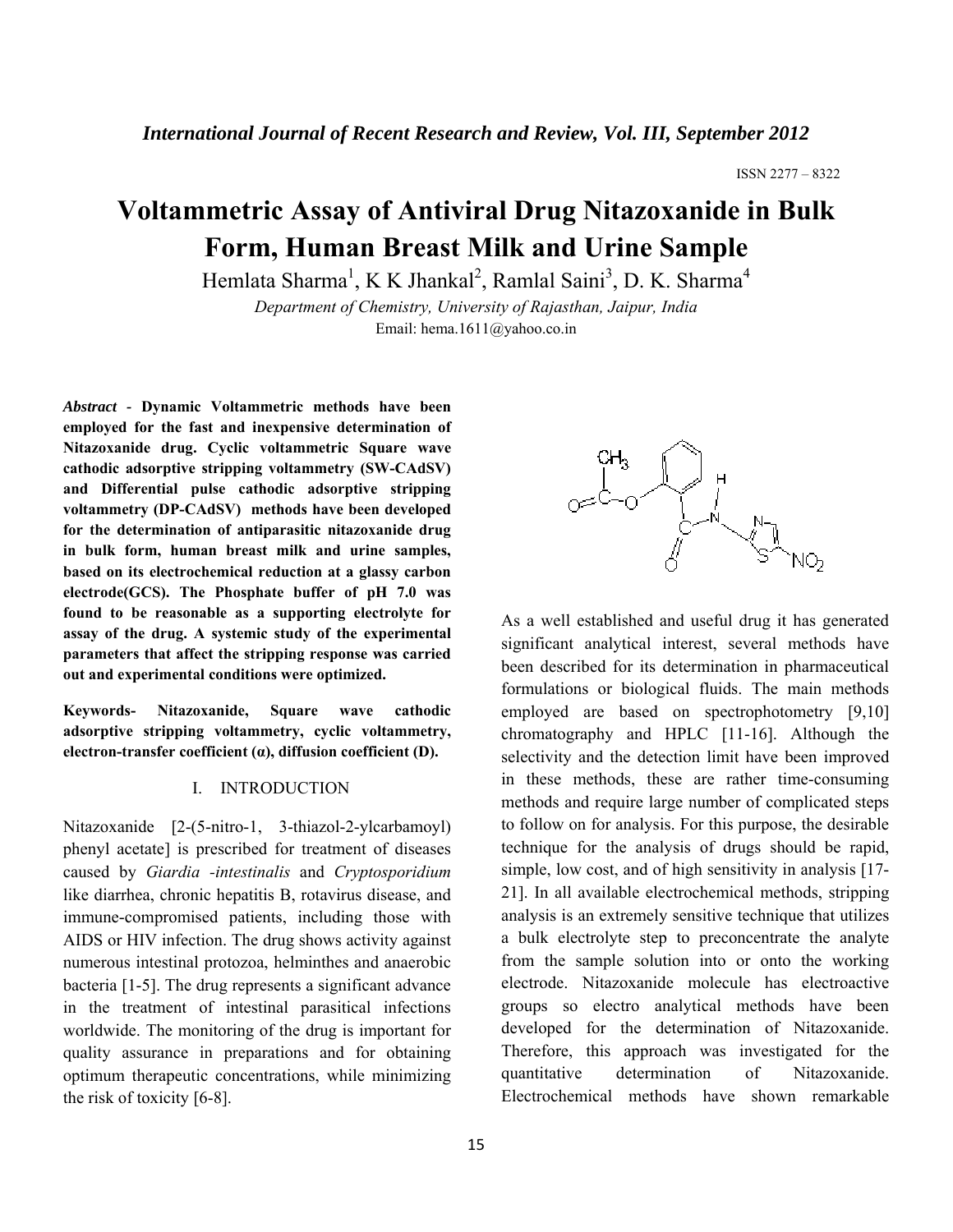# **Voltammetric Assay of Antiviral Drug Nitazoxanide in Bulk Form, Human Breast Milk and Urine Sample**

Hemlata Sharma<sup>1</sup>, K K Jhankal<sup>2</sup>, Ramlal Saini<sup>3</sup>, D. K. Sharma<sup>4</sup>

*Department of Chemistry, University of Rajasthan, Jaipur, India*  Email: hema.1611@yahoo.co.in

*Abstract -* **Dynamic Voltammetric methods have been employed for the fast and inexpensive determination of Nitazoxanide drug. Cyclic voltammetric Square wave cathodic adsorptive stripping voltammetry (SW-CAdSV) and Differential pulse cathodic adsorptive stripping voltammetry (DP-CAdSV) methods have been developed for the determination of antiparasitic nitazoxanide drug in bulk form, human breast milk and urine samples, based on its electrochemical reduction at a glassy carbon electrode(GCS). The Phosphate buffer of pH 7.0 was found to be reasonable as a supporting electrolyte for assay of the drug. A systemic study of the experimental parameters that affect the stripping response was carried out and experimental conditions were optimized.** 

**Keywords- Nitazoxanide, Square wave cathodic adsorptive stripping voltammetry, cyclic voltammetry, electron-transfer coefficient (α), diffusion coefficient (D).**

### I. INTRODUCTION

Nitazoxanide [2-(5-nitro-1, 3-thiazol-2-ylcarbamoyl) phenyl acetate] is prescribed for treatment of diseases caused by *Giardia -intestinalis* and *Cryptosporidium*  like diarrhea, chronic hepatitis B, rotavirus disease, and immune-compromised patients, including those with AIDS or HIV infection. The drug shows activity against numerous intestinal protozoa, helminthes and anaerobic bacteria [1-5]. The drug represents a significant advance in the treatment of intestinal parasitical infections worldwide. The monitoring of the drug is important for quality assurance in preparations and for obtaining optimum therapeutic concentrations, while minimizing the risk of toxicity [6-8].



As a well established and useful drug it has generated significant analytical interest, several methods have been described for its determination in pharmaceutical formulations or biological fluids. The main methods employed are based on spectrophotometry [9,10] chromatography and HPLC [11-16]. Although the selectivity and the detection limit have been improved in these methods, these are rather time-consuming methods and require large number of complicated steps to follow on for analysis. For this purpose, the desirable technique for the analysis of drugs should be rapid, simple, low cost, and of high sensitivity in analysis [17- 21]. In all available electrochemical methods, stripping analysis is an extremely sensitive technique that utilizes a bulk electrolyte step to preconcentrate the analyte from the sample solution into or onto the working electrode. Nitazoxanide molecule has electroactive groups so electro analytical methods have been developed for the determination of Nitazoxanide. Therefore, this approach was investigated for the quantitative determination of Nitazoxanide. Electrochemical methods have shown remarkable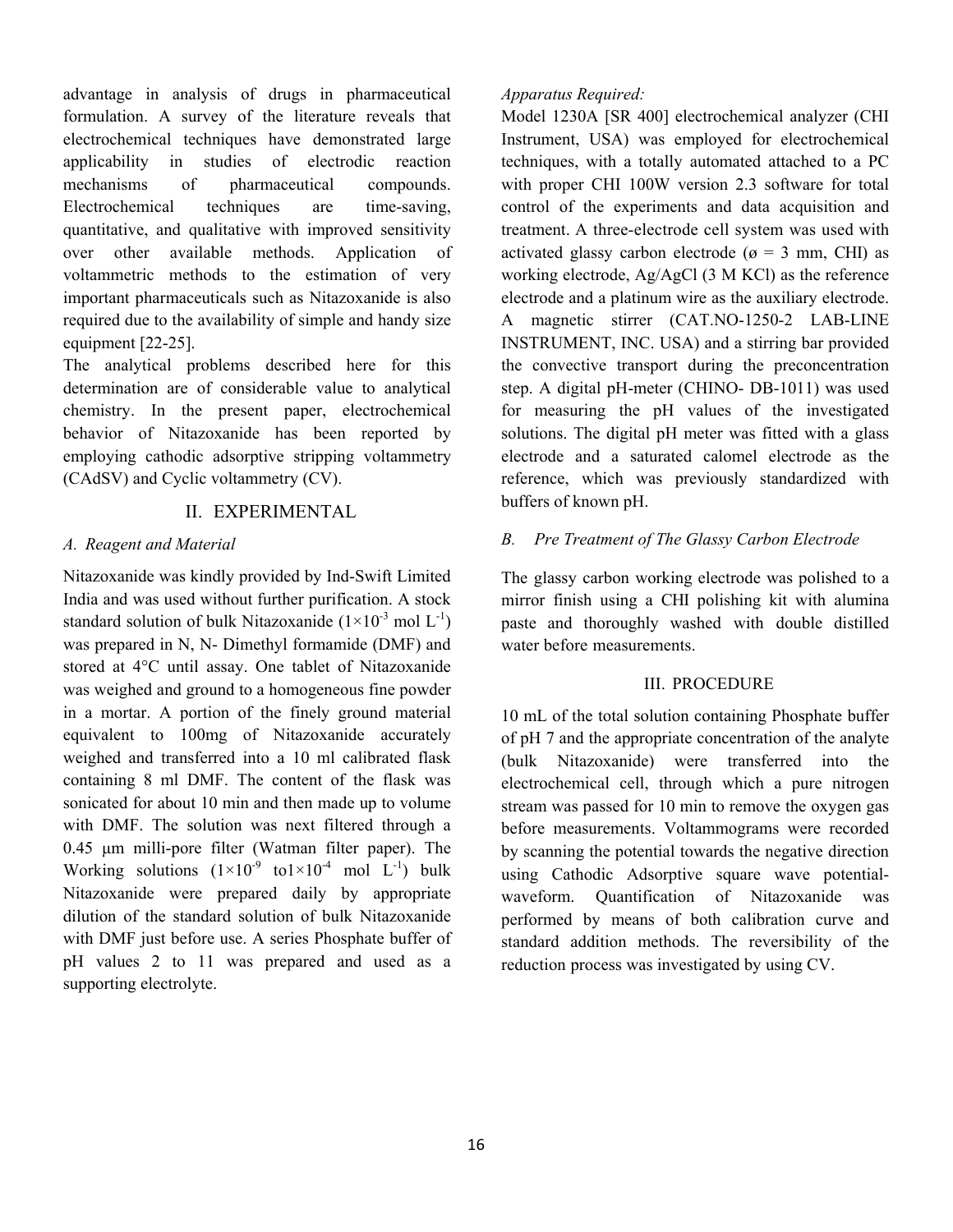advantage in analysis of drugs in pharmaceutical formulation. A survey of the literature reveals that electrochemical techniques have demonstrated large applicability in studies of electrodic reaction mechanisms of pharmaceutical compounds. Electrochemical techniques are time-saving, quantitative, and qualitative with improved sensitivity over other available methods. Application of voltammetric methods to the estimation of very important pharmaceuticals such as Nitazoxanide is also required due to the availability of simple and handy size equipment [22-25].

The analytical problems described here for this determination are of considerable value to analytical chemistry. In the present paper, electrochemical behavior of Nitazoxanide has been reported by employing cathodic adsorptive stripping voltammetry (CAdSV) and Cyclic voltammetry (CV).

# II. EXPERIMENTAL

# *A. Reagent and Material*

Nitazoxanide was kindly provided by Ind-Swift Limited India and was used without further purification. A stock standard solution of bulk Nitazoxanide  $(1\times10^{-3} \text{ mol L}^{-1})$ was prepared in N, N- Dimethyl formamide (DMF) and stored at 4°C until assay. One tablet of Nitazoxanide was weighed and ground to a homogeneous fine powder in a mortar. A portion of the finely ground material equivalent to 100mg of Nitazoxanide accurately weighed and transferred into a 10 ml calibrated flask containing 8 ml DMF. The content of the flask was sonicated for about 10 min and then made up to volume with DMF. The solution was next filtered through a 0.45 μm milli-pore filter (Watman filter paper). The Working solutions  $(1\times10^{-9} \text{ to } 1\times10^{-4} \text{ mol } L^{-1})$  bulk Nitazoxanide were prepared daily by appropriate dilution of the standard solution of bulk Nitazoxanide with DMF just before use. A series Phosphate buffer of pH values 2 to 11 was prepared and used as a supporting electrolyte.

# *Apparatus Required:*

Model 1230A [SR 400] electrochemical analyzer (CHI Instrument, USA) was employed for electrochemical techniques, with a totally automated attached to a PC with proper CHI 100W version 2.3 software for total control of the experiments and data acquisition and treatment. A three-electrode cell system was used with activated glassy carbon electrode ( $\alpha$  = 3 mm, CHI) as working electrode, Ag/AgCl (3 M KCl) as the reference electrode and a platinum wire as the auxiliary electrode. A magnetic stirrer (CAT.NO-1250-2 LAB-LINE INSTRUMENT, INC. USA) and a stirring bar provided the convective transport during the preconcentration step. A digital pH-meter (CHINO- DB-1011) was used for measuring the pH values of the investigated solutions. The digital pH meter was fitted with a glass electrode and a saturated calomel electrode as the reference, which was previously standardized with buffers of known pH.

# *B. Pre Treatment of The Glassy Carbon Electrode*

The glassy carbon working electrode was polished to a mirror finish using a CHI polishing kit with alumina paste and thoroughly washed with double distilled water before measurements

# III. PROCEDURE

10 mL of the total solution containing Phosphate buffer of pH 7 and the appropriate concentration of the analyte (bulk Nitazoxanide) were transferred into the electrochemical cell, through which a pure nitrogen stream was passed for 10 min to remove the oxygen gas before measurements. Voltammograms were recorded by scanning the potential towards the negative direction using Cathodic Adsorptive square wave potentialwaveform. Quantification of Nitazoxanide was performed by means of both calibration curve and standard addition methods. The reversibility of the reduction process was investigated by using CV.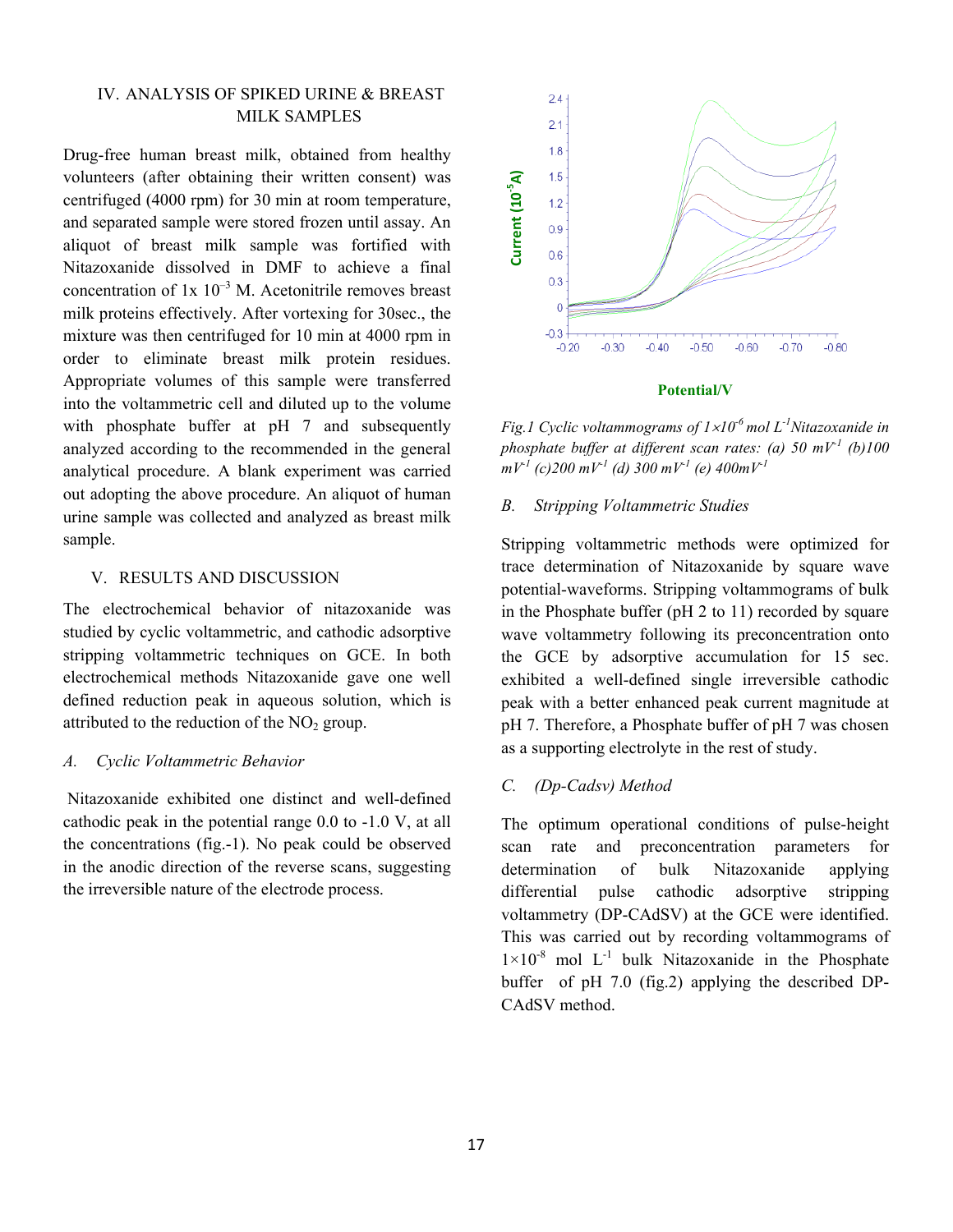# IV. ANALYSIS OF SPIKED URINE & BREAST MILK SAMPLES

Drug-free human breast milk, obtained from healthy volunteers (after obtaining their written consent) was centrifuged (4000 rpm) for 30 min at room temperature, and separated sample were stored frozen until assay. An aliquot of breast milk sample was fortified with Nitazoxanide dissolved in DMF to achieve a final concentration of  $1x \times 10^{-3}$  M. Acetonitrile removes breast milk proteins effectively. After vortexing for 30sec., the mixture was then centrifuged for 10 min at 4000 rpm in order to eliminate breast milk protein residues. Appropriate volumes of this sample were transferred into the voltammetric cell and diluted up to the volume with phosphate buffer at pH 7 and subsequently analyzed according to the recommended in the general analytical procedure. A blank experiment was carried out adopting the above procedure. An aliquot of human urine sample was collected and analyzed as breast milk sample.

# V. RESULTS AND DISCUSSION

The electrochemical behavior of nitazoxanide was studied by cyclic voltammetric, and cathodic adsorptive stripping voltammetric techniques on GCE. In both electrochemical methods Nitazoxanide gave one well defined reduction peak in aqueous solution, which is attributed to the reduction of the  $NO<sub>2</sub>$  group.

# *A. Cyclic Voltammetric Behavior*

 Nitazoxanide exhibited one distinct and well-defined cathodic peak in the potential range 0.0 to -1.0 V, at all the concentrations (fig.-1). No peak could be observed in the anodic direction of the reverse scans, suggesting the irreversible nature of the electrode process.



#### **Potential/V**

*Fig.1 Cyclic voltammograms of 1*×*10-6 mol L-1Nitazoxanide in phosphate buffer at different scan rates: (a) 50 mV-1 (b)100*   $mV^1$  (c) 200 mV<sup>-1</sup> (d) 300 mV<sup>-1</sup> (e) 400mV<sup>-1</sup>

### *B. Stripping Voltammetric Studies*

Stripping voltammetric methods were optimized for trace determination of Nitazoxanide by square wave potential-waveforms. Stripping voltammograms of bulk in the Phosphate buffer (pH 2 to 11) recorded by square wave voltammetry following its preconcentration onto the GCE by adsorptive accumulation for 15 sec. exhibited a well-defined single irreversible cathodic peak with a better enhanced peak current magnitude at pH 7. Therefore, a Phosphate buffer of pH 7 was chosen as a supporting electrolyte in the rest of study. **EVALUATE 15**<br> **CALC 12**<br> **CALC 12**<br> **CALC 12**<br> **CALC 12**<br> **CALC 12**<br> **CALC 12**<br> **CALC 12**<br> **CALC 1200** mV<sup>-1</sup> (c)<br> **CALC 100** mV<sup>-1</sup> (a<br> **B.** Stripping Voltam<br> **CALC 100** mV<sup>-1</sup> (a<br> **CALC 100** a<br> **CALC 100** a<br> **CALC 100** 

### *C. (Dp-Cadsv) Method*

The optimum operational conditions of pulse-height scan rate and preconcentration parameters for determination of bulk Nitazoxanide applying differential pulse cathodic adsorptive stripping voltammetry (DP-CAdSV) at the GCE were identified. This was carried out by recording voltammograms of  $1\times10^{-8}$  mol L<sup>-1</sup> bulk Nitazoxanide in the Phosphate buffer of pH 7.0 (fig.2) applying the described DP-CAdSV method.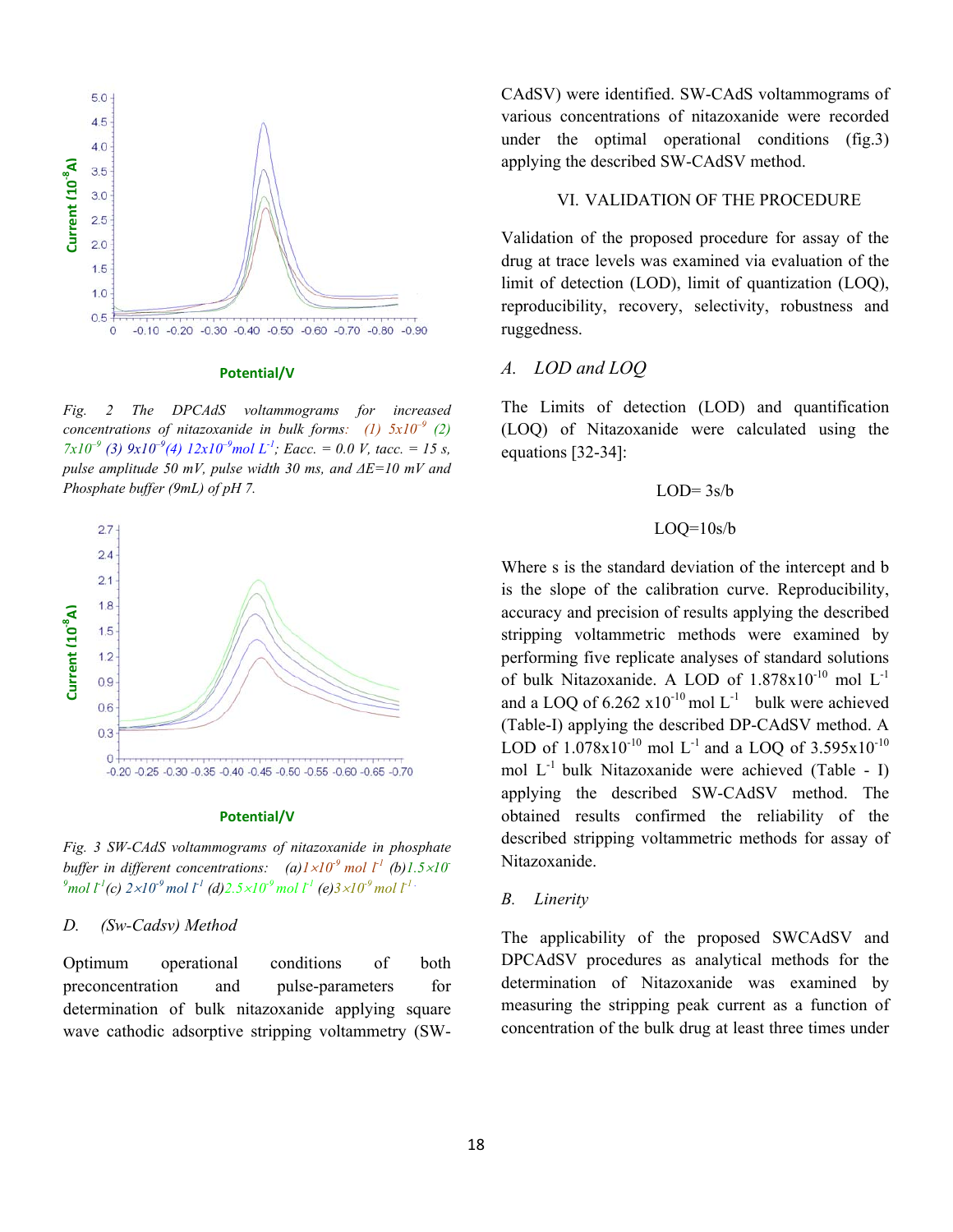

#### **Potential/V**

*Fig. 2 The DPCAdS voltammograms for increased concentrations of nitazoxanide in bulk forms:* (1)  $5x10^{-9}$  (2)  $7x10^{-9}$  (3)  $9x10^{-9}$ (4)  $12x10^{-9}$  mol L<sup>-1</sup>; Eacc. = 0.0 V, tacc. = 15 s, *pulse amplitude 50 mV, pulse width 30 ms, and ΔE=10 mV and Phosphate buffer (9mL) of pH 7.*



#### **Potential/V**

*Fig. 3 SW-CAdS voltammograms of nitazoxanide in phosphate buffer in different concentrations:* (a) $1 \times 10^{-9}$  mol  $\Gamma^1$  (b) $1.5 \times 10^{-7}$  $^{9}$ mol l<sup>-1</sup>(c) 2×10<sup>-9</sup> mol l<sup>-1</sup> (d)2.5×10<sup>-9</sup> mol l<sup>-1</sup> (e)3×10<sup>-9</sup> mol l<sup>-1</sup> .

#### *D. (Sw-Cadsv) Method*

Optimum operational conditions of both preconcentration and pulse-parameters for determination of bulk nitazoxanide applying square wave cathodic adsorptive stripping voltammetry (SW- CAdSV) were identified. SW-CAdS voltammograms of various concentrations of nitazoxanide were recorded under the optimal operational conditions (fig.3) applying the described SW-CAdSV method.

### VI. VALIDATION OF THE PROCEDURE

Validation of the proposed procedure for assay of the drug at trace levels was examined via evaluation of the limit of detection (LOD), limit of quantization (LOQ), reproducibility, recovery, selectivity, robustness and ruggedness.

# *A. LOD and LOQ*

The Limits of detection (LOD) and quantification (LOQ) of Nitazoxanide were calculated using the equations [32-34]:

$$
LOD=3s/b
$$

### $LOQ=10s/b$

Where s is the standard deviation of the intercept and b is the slope of the calibration curve. Reproducibility, accuracy and precision of results applying the described stripping voltammetric methods were examined by performing five replicate analyses of standard solutions of bulk Nitazoxanide. A LOD of  $1.878 \times 10^{-10}$  mol L<sup>-1</sup> and a LOQ of  $6.262 \times 10^{-10}$  mol L<sup>-1</sup> bulk were achieved (Table-I) applying the described DP-CAdSV method. A LOD of  $1.078x10^{-10}$  mol L<sup>-1</sup> and a LOQ of  $3.595x10^{-10}$ mol  $L^{-1}$  bulk Nitazoxanide were achieved (Table - I) applying the described SW-CAdSV method. The obtained results confirmed the reliability of the described stripping voltammetric methods for assay of Nitazoxanide.

### *B. Linerity*

The applicability of the proposed SWCAdSV and DPCAdSV procedures as analytical methods for the determination of Nitazoxanide was examined by measuring the stripping peak current as a function of concentration of the bulk drug at least three times under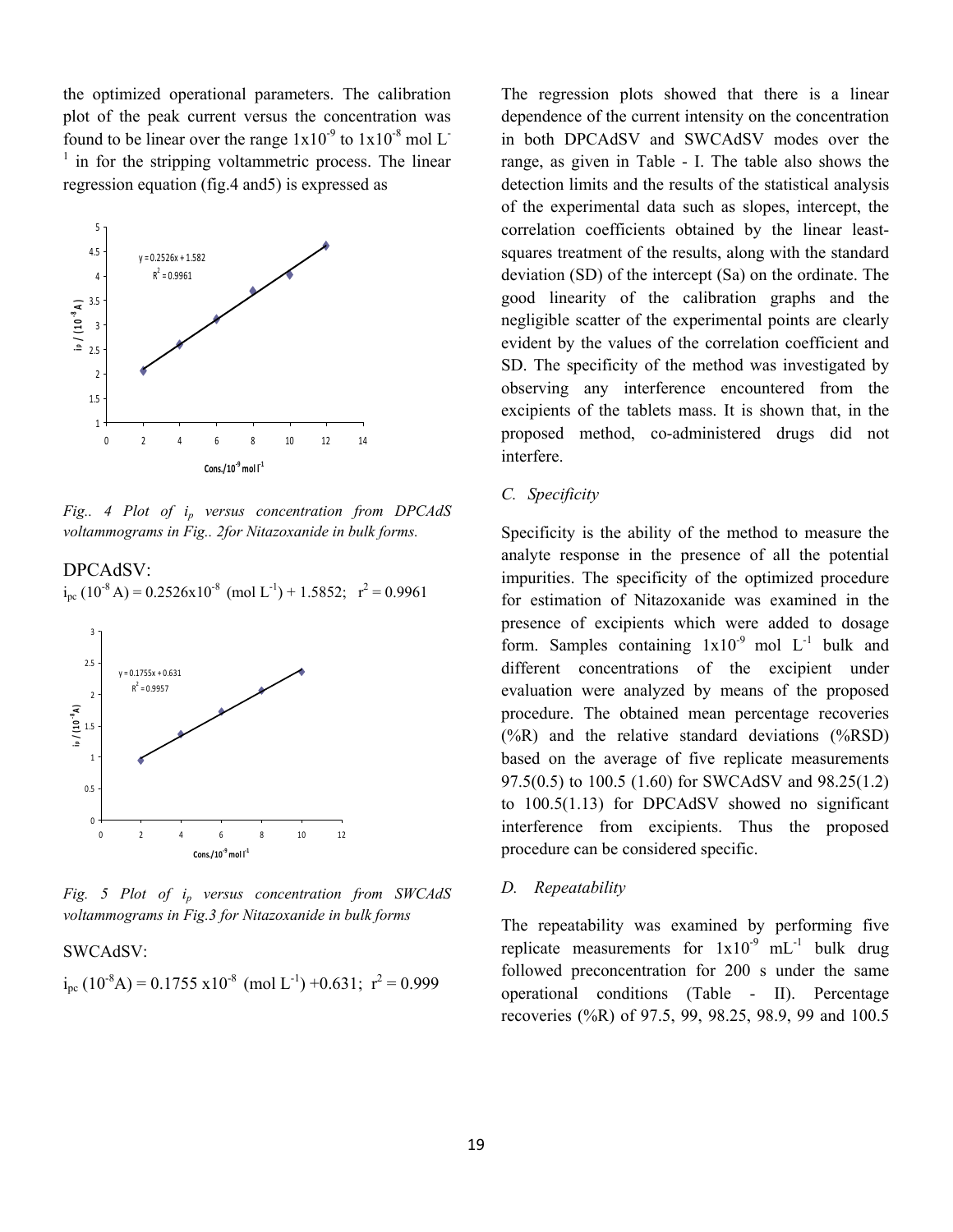the optimized operational parameters. The calibration plot of the peak current versus the concentration was found to be linear over the range  $1x10^{-9}$  to  $1x10^{-8}$  mol L<sup>-</sup>  $1$  in for the stripping voltammetric process. The linear regression equation (fig.4 and5) is expressed as



*Fig.. 4 Plot of ip versus concentration from DPCAdS voltammograms in Fig.. 2for Nitazoxanide in bulk forms.* 

# DPCAdSV:  $i_{\text{pc}}$  (10<sup>-8</sup> A) = 0.2526x10<sup>-8</sup> (mol L<sup>-1</sup>) + 1.5852;  $r^2$  = 0.9961



*Fig. 5 Plot of ip versus concentration from SWCAdS voltammograms in Fig.3 for Nitazoxanide in bulk forms*

#### SWCAdSV:

$$
i_{\text{pc}} (10^8 \text{A}) = 0.1755 \text{ x} 10^8 \text{ (mol L}^{\text{-1}}) +0.631; \text{ r}^2 = 0.999
$$

The regression plots showed that there is a linear dependence of the current intensity on the concentration in both DPCAdSV and SWCAdSV modes over the range, as given in Table - I. The table also shows the detection limits and the results of the statistical analysis of the experimental data such as slopes, intercept, the correlation coefficients obtained by the linear leastsquares treatment of the results, along with the standard deviation (SD) of the intercept (Sa) on the ordinate. The good linearity of the calibration graphs and the negligible scatter of the experimental points are clearly evident by the values of the correlation coefficient and SD. The specificity of the method was investigated by observing any interference encountered from the excipients of the tablets mass. It is shown that, in the proposed method, co-administered drugs did not interfere.

### *C. Specificity*

Specificity is the ability of the method to measure the analyte response in the presence of all the potential impurities. The specificity of the optimized procedure for estimation of Nitazoxanide was examined in the presence of excipients which were added to dosage form. Samples containing  $1x10^{-9}$  mol  $L^{-1}$  bulk and different concentrations of the excipient under evaluation were analyzed by means of the proposed procedure. The obtained mean percentage recoveries (%R) and the relative standard deviations (%RSD) based on the average of five replicate measurements 97.5(0.5) to 100.5 (1.60) for SWCAdSV and 98.25(1.2) to 100.5(1.13) for DPCAdSV showed no significant interference from excipients. Thus the proposed procedure can be considered specific.

#### *D. Repeatability*

The repeatability was examined by performing five replicate measurements for  $1x10^{-9}$  mL<sup>-1</sup> bulk drug followed preconcentration for 200 s under the same operational conditions (Table - II). Percentage recoveries (%R) of 97.5, 99, 98.25, 98.9, 99 and 100.5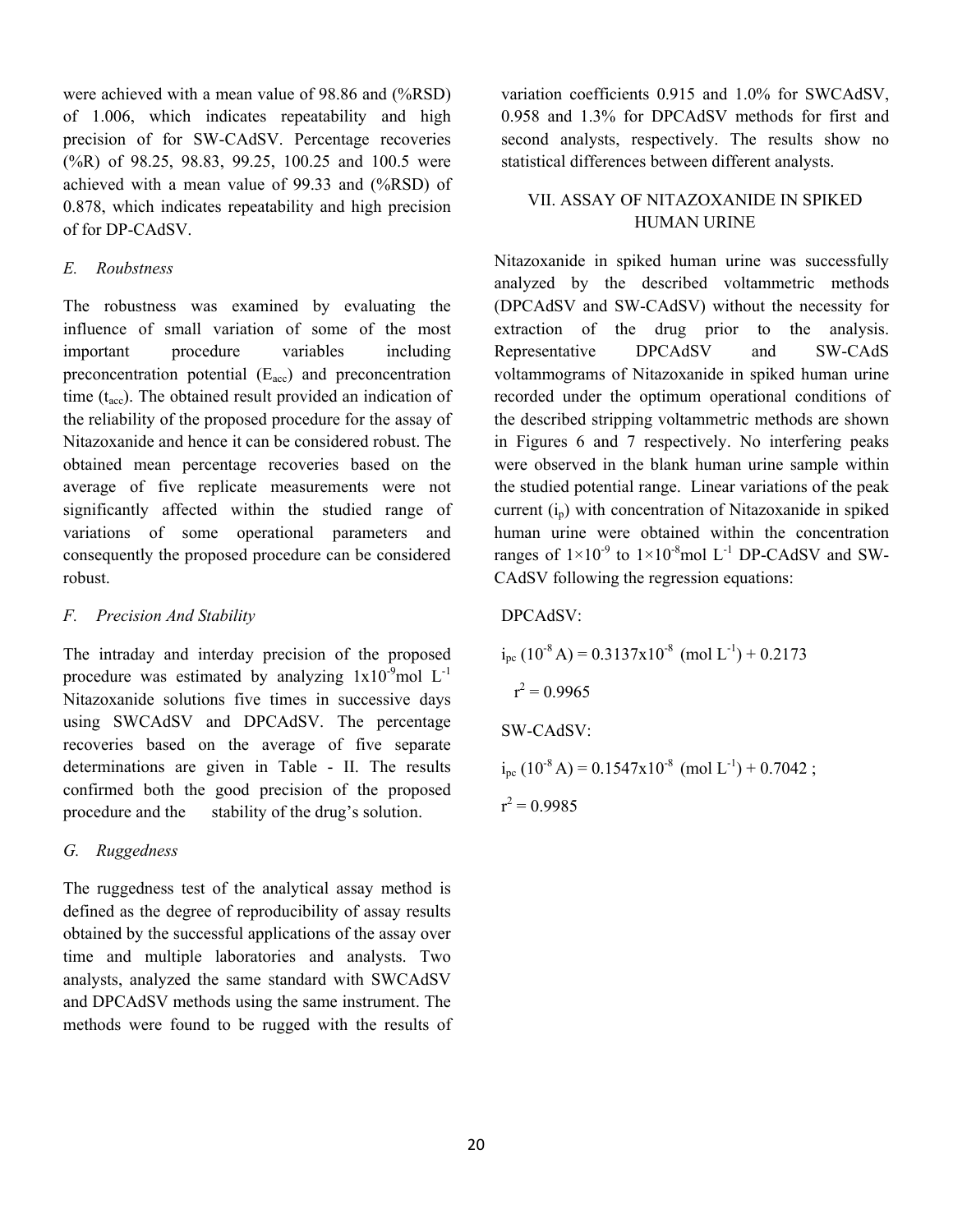were achieved with a mean value of 98.86 and (%RSD) of 1.006, which indicates repeatability and high precision of for SW-CAdSV. Percentage recoveries (%R) of 98.25, 98.83, 99.25, 100.25 and 100.5 were achieved with a mean value of 99.33 and (%RSD) of 0.878, which indicates repeatability and high precision of for DP-CAdSV.

### *E. Roubstness*

The robustness was examined by evaluating the influence of small variation of some of the most important procedure variables including preconcentration potential  $(E_{\text{acc}})$  and preconcentration time  $(t_{\text{acc}})$ . The obtained result provided an indication of the reliability of the proposed procedure for the assay of Nitazoxanide and hence it can be considered robust. The obtained mean percentage recoveries based on the average of five replicate measurements were not significantly affected within the studied range of variations of some operational parameters and consequently the proposed procedure can be considered robust.

### *F. Precision And Stability*

The intraday and interday precision of the proposed procedure was estimated by analyzing  $1x10^{-9}$ mol  $L^{-1}$ Nitazoxanide solutions five times in successive days using SWCAdSV and DPCAdSV. The percentage recoveries based on the average of five separate determinations are given in Table - II. The results confirmed both the good precision of the proposed procedure and the stability of the drug's solution.

### *G. Ruggedness*

The ruggedness test of the analytical assay method is defined as the degree of reproducibility of assay results obtained by the successful applications of the assay over time and multiple laboratories and analysts. Two analysts, analyzed the same standard with SWCAdSV and DPCAdSV methods using the same instrument. The methods were found to be rugged with the results of variation coefficients 0.915 and 1.0% for SWCAdSV, 0.958 and 1.3% for DPCAdSV methods for first and second analysts, respectively. The results show no statistical differences between different analysts.

# VII. ASSAY OF NITAZOXANIDE IN SPIKED HUMAN URINE

Nitazoxanide in spiked human urine was successfully analyzed by the described voltammetric methods (DPCAdSV and SW-CAdSV) without the necessity for extraction of the drug prior to the analysis. Representative DPCAdSV and SW-CAdS voltammograms of Nitazoxanide in spiked human urine recorded under the optimum operational conditions of the described stripping voltammetric methods are shown in Figures 6 and 7 respectively. No interfering peaks were observed in the blank human urine sample within the studied potential range. Linear variations of the peak current  $(i_n)$  with concentration of Nitazoxanide in spiked human urine were obtained within the concentration ranges of  $1\times10^{-9}$  to  $1\times10^{-8}$  mol L<sup>-1</sup> DP-CAdSV and SW-CAdSV following the regression equations:

## DPCAdSV:

 $i_{\text{nc}}$  (10<sup>-8</sup> A) = 0.3137x10<sup>-8</sup> (mol L<sup>-1</sup>) + 0.2173  $r^2 = 0.9965$ SW-CAdSV:  $i_{\text{nc}}$  (10<sup>-8</sup> A) = 0.1547x10<sup>-8</sup> (mol L<sup>-1</sup>) + 0.7042 ;  $r^2 = 0.9985$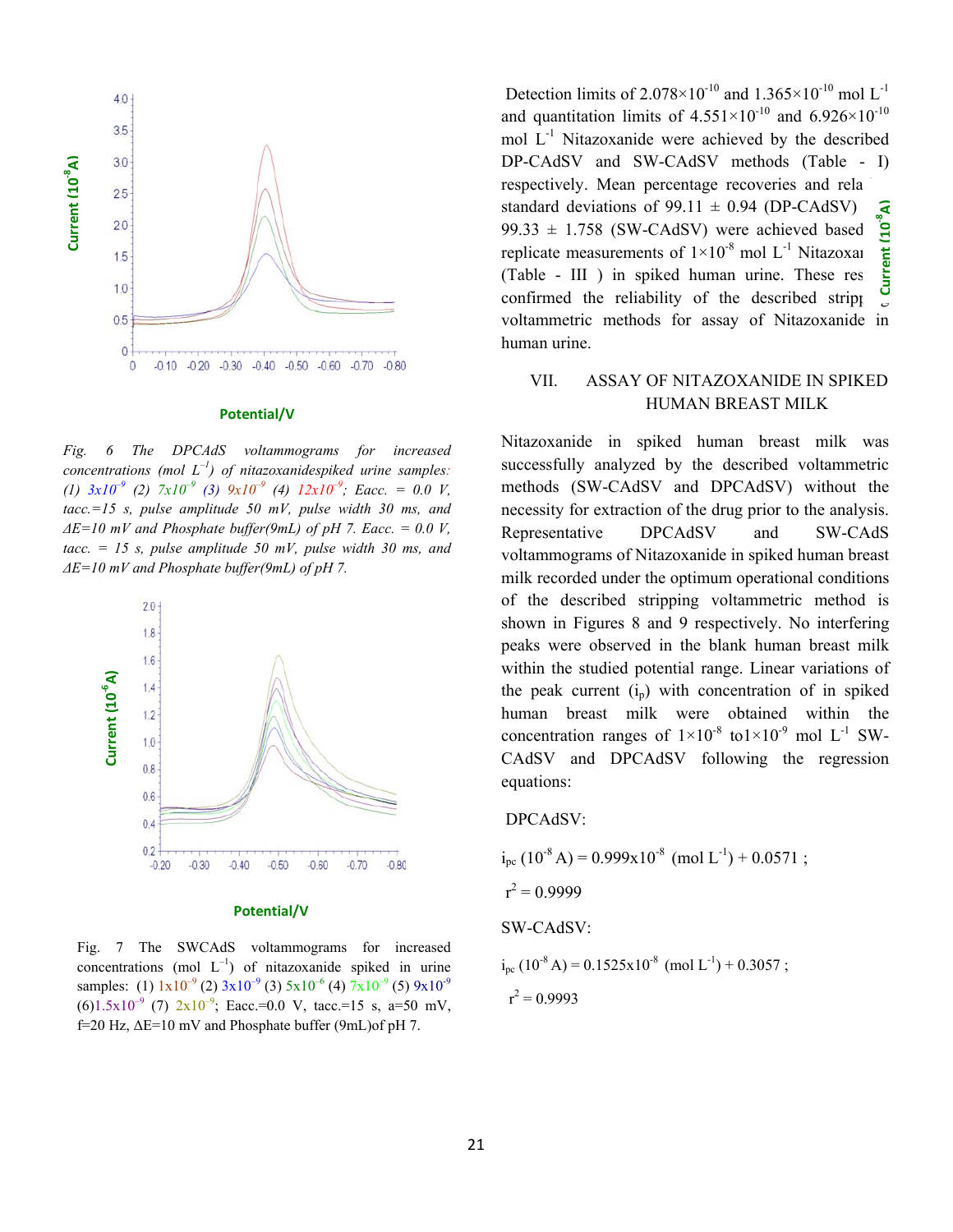

#### **Potential/V**

*Fig. 6 The DPCAdS voltammograms for increased concentrations (mol*  $L^{-1}$ ) of nitazoxanidespiked urine samples: *(1) 3x10–9 (2) 7x10–9 (3) 9x10–9 (4) 12x10–9; Eacc. = 0.0 V, tacc.=15 s, pulse amplitude 50 mV, pulse width 30 ms, and*   $\Delta E = 10$  mV and Phosphate buffer(9mL) of pH 7. Eacc. = 0.0 V, *tacc. = 15 s, pulse amplitude 50 mV, pulse width 30 ms, and ΔE=10 mV and Phosphate buffer(9mL) of pH 7.*



#### **Potential/V**

Fig. 7 The SWCAdS voltammograms for increased concentrations (mol  $L^{-1}$ ) of nitazoxanide spiked in urine samples: (1)  $1x10^{-9}$  (2)  $3x10^{-9}$  (3)  $5x10^{-6}$  (4)  $7x10^{-9}$  (5)  $9x10^{-9}$  $(6)1.5x10^{-9}$  (7)  $2x10^{-9}$ ; Eacc.=0.0 V, tacc.=15 s, a=50 mV, f=20 Hz, ΔE=10 mV and Phosphate buffer (9mL)of pH 7.

Detection limits of  $2.078 \times 10^{-10}$  and  $1.365 \times 10^{-10}$  mol L<sup>-1</sup> and quantitation limits of  $4.551\times10^{-10}$  and  $6.926\times10^{-10}$ mol  $L^{-1}$  Nitazoxanide were achieved by the described DP-CAdSV and SW-CAdSV methods (Table - I) respectively. Mean percentage recoveries and rela standard deviations of 99.11  $\pm$  0.94 (DP-CAdSV)  $\overline{a}$ 99.33  $\pm$  1.758 (SW-CAdSV) were achieved based<br>replicate measurements of  $1 \times 10^{-8}$  mol L<sup>-1</sup> Nitazoxa<br>(Table - III ) in spiked human urine. These res replicate measurements of  $1\times10^{-8}$  mol L<sup>-1</sup> Nitazoxan  $(Table - III)$  in spiked human urine. These res confirmed the reliability of the described strippend stripping. voltammetric methods for assay of Nitazoxanide in human urine. **Current (10-8A)**

# VII. ASSAY OF NITAZOXANIDE IN SPIKED HUMAN BREAST MILK

Nitazoxanide in spiked human breast milk was successfully analyzed by the described voltammetric methods (SW-CAdSV and DPCAdSV) without the necessity for extraction of the drug prior to the analysis. Representative DPCAdSV and SW-CAdS voltammograms of Nitazoxanide in spiked human breast milk recorded under the optimum operational conditions of the described stripping voltammetric method is shown in Figures 8 and 9 respectively. No interfering peaks were observed in the blank human breast milk within the studied potential range. Linear variations of the peak current  $(i<sub>p</sub>)$  with concentration of in spiked human breast milk were obtained within the concentration ranges of  $1\times10^{-8}$  to $1\times10^{-9}$  mol L<sup>-1</sup> SW-CAdSV and DPCAdSV following the regression equations:

#### DPCAdSV:

 $i_{\text{nc}}$  (10<sup>-8</sup> A) = 0.999x10<sup>-8</sup> (mol L<sup>-1</sup>) + 0.0571 ;  $r^2 = 0.9999$ SW-CAdSV:  $i_{\text{pc}}$  (10<sup>-8</sup> A) = 0.1525x10<sup>-8</sup> (mol L<sup>-1</sup>) + 0.3057 ;  $r^2 = 0.9993$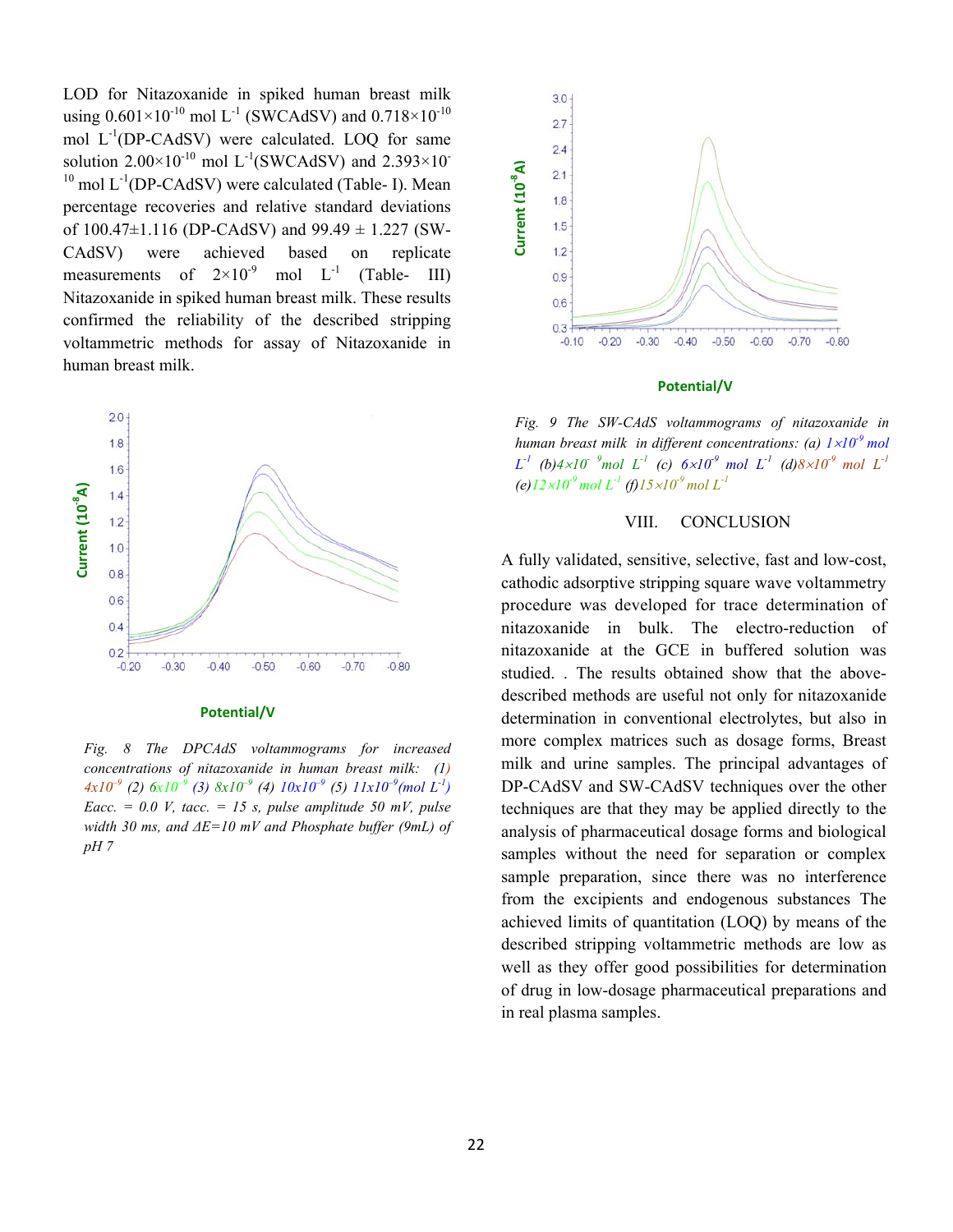LOD for Nitazoxanide in spiked human breast milk using  $0.601 \times 10^{-10}$  mol L<sup>-1</sup> (SWCAdSV) and  $0.718 \times 10^{-10}$ mol  $L^{-1}$ (DP-CAdSV) were calculated. LOQ for same solution  $2.00\times10^{-10}$  mol L<sup>-1</sup>(SWCAdSV) and  $2.393\times10^{-10}$  $10 \text{ mol } L^{-1}$ (DP-CAdSV) were calculated (Table- I). Mean percentage recoveries and relative standard deviations of  $100.47 \pm 1.116$  (DP-CAdSV) and  $99.49 \pm 1.227$  (SW-CAdSV) were achieved based on replicate measurements of  $2\times10^{-9}$  mol L<sup>-1</sup> (Table- III) Nitazoxanide in spiked human breast milk. These results confirmed the reliability of the described stripping voltammetric methods for assay of Nitazoxanide in human breast milk.



#### **Potential/V**

*Fig. 8 The DPCAdS voltammograms for increased concentrations of nitazoxanide in human breast milk: (1) 4x10–9 (2) 6x10–9 (3) 8x10–9 (4) 10x10–9 (5) 11x10–9(mol L-1) Eacc.* = 0.0 *V, tacc.* = 15 *s, pulse amplitude 50 mV, pulse width 30 ms, and ΔE=10 mV and Phosphate buffer (9mL) of pH 7* 



#### **Potential/V**

*Fig. 9 The SW-CAdS voltammograms of nitazoxanide in human breast milk in different concentrations: (a)*  $1 \times 10^{-9}$  *mol*  $L^{-1}$  (b)4×*10*<sup>-9</sup> mol  $L^{-1}$  (c)  $6 \times 10^{-9}$  mol  $L^{-1}$  (d)8×10<sup>-9</sup> mol  $L^{-1}$  $(e)$ 12×10<sup>-9</sup> mol L<sup>-1</sup> (f)15×10<sup>-9</sup> mol L<sup>-1</sup>

### VIII. CONCLUSION

**Example 12.1**<br> **Example 1.8**<br> **Example 1.8**<br> **Current Current Current Current Current Current Current Current Current Current Current Current Current Current Current Current Current Curr** A fully validated, sensitive, selective, fast and low-cost, cathodic adsorptive stripping square wave voltammetry procedure was developed for trace determination of nitazoxanide in bulk. The electro-reduction of nitazoxanide at the GCE in buffered solution was studied. . The results obtained show that the abovedescribed methods are useful not only for nitazoxanide determination in conventional electrolytes, but also in more complex matrices such as dosage forms, Breast milk and urine samples. The principal advantages of DP-CAdSV and SW-CAdSV techniques over the other techniques are that they may be applied directly to the analysis of pharmaceutical dosage forms and biological samples without the need for separation or complex sample preparation, since there was no interference from the excipients and endogenous substances The achieved limits of quantitation (LOQ) by means of the described stripping voltammetric methods are low as well as they offer good possibilities for determination of drug in low-dosage pharmaceutical preparations and in real plasma samples.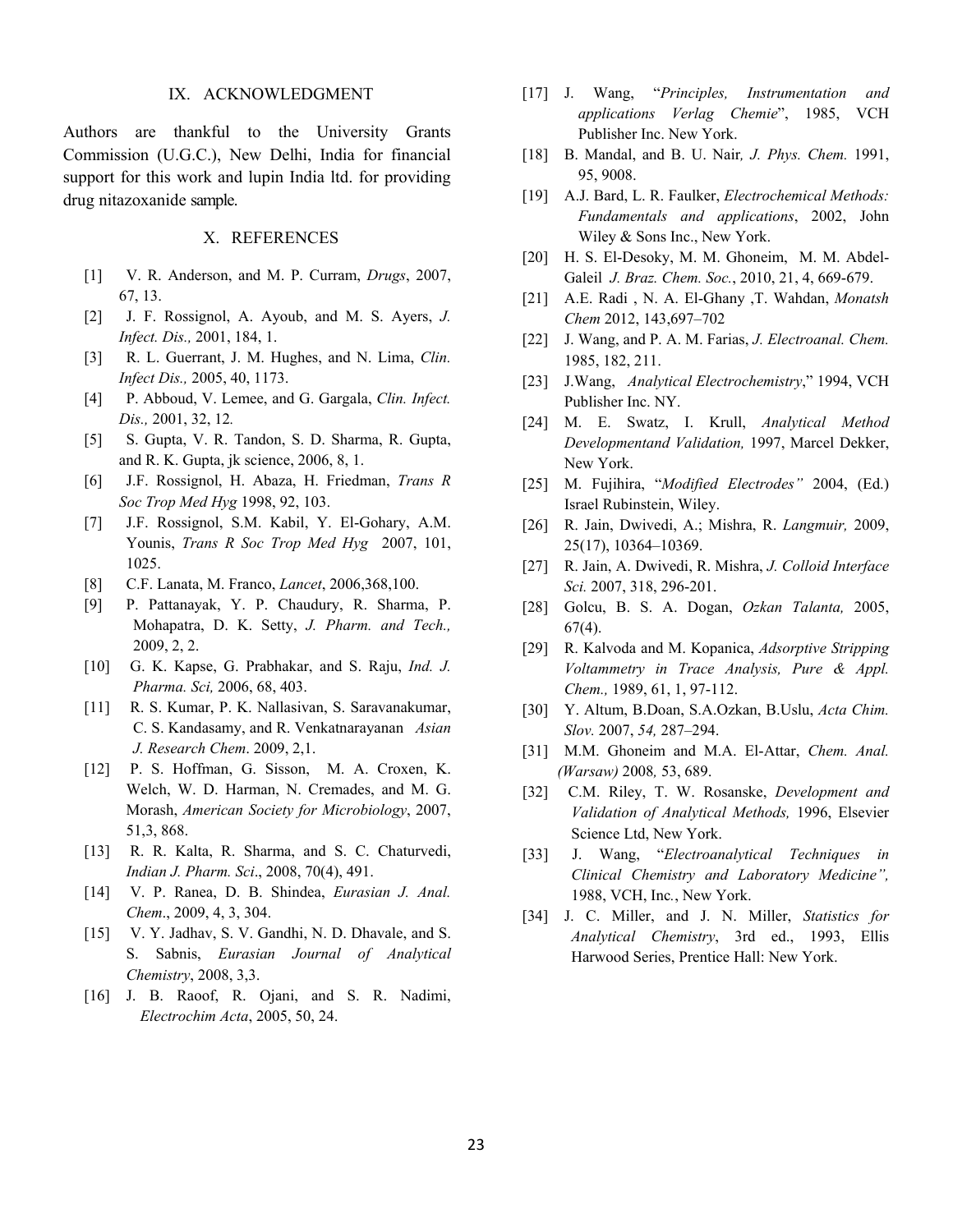#### IX. ACKNOWLEDGMENT

Authors are thankful to the University Grants Commission (U.G.C.), New Delhi, India for financial support for this work and lupin India ltd. for providing drug nitazoxanide sample.

### X. REFERENCES

- [1] V. R. Anderson, and M. P. Curram, *Drugs*, 2007, 67, 13.
- [2] J. F. Rossignol, A. Ayoub, and M. S. Ayers, *J. Infect. Dis.,* 2001, 184, 1.
- [3] R. L. Guerrant, J. M. Hughes, and N. Lima, *Clin. Infect Dis.,* 2005, 40, 1173.
- [4] P. Abboud, V. Lemee, and G. Gargala, *Clin. Infect. Dis.,* 2001, 32, 12*.*
- [5] S. Gupta, V. R. Tandon, S. D. Sharma, R. Gupta, and R. K. Gupta, jk science, 2006, 8, 1.
- [6] J.F. Rossignol, H. Abaza, H. Friedman, *Trans R Soc Trop Med Hyg* 1998, 92, 103.
- [7] J.F. Rossignol, S.M. Kabil, Y. El-Gohary, A.M. Younis, *Trans R Soc Trop Med Hyg* 2007, 101, 1025.
- [8] C.F. Lanata, M. Franco, *Lancet*, 2006,368,100.
- [9] P. Pattanayak, Y. P. Chaudury, R. Sharma, P. Mohapatra, D. K. Setty, *J. Pharm. and Tech.,* 2009, 2, 2.
- [10] G. K. Kapse, G. Prabhakar, and S. Raju, *Ind. J. Pharma. Sci,* 2006, 68, 403.
- [11] R. S. Kumar, P. K. Nallasivan, S. Saravanakumar, C. S. Kandasamy, and R. Venkatnarayanan *Asian J. Research Chem*. 2009, 2,1.
- [12] P. S. Hoffman, G. Sisson, M. A. Croxen, K. Welch, W. D. Harman, N. Cremades, and M. G. Morash, *American Society for Microbiology*, 2007, 51,3, 868.
- [13] R. R. Kalta, R. Sharma, and S. C. Chaturvedi, *Indian J. Pharm. Sci*., 2008, 70(4), 491.
- [14] V. P. Ranea, D. B. Shindea, *Eurasian J. Anal. Chem*., 2009, 4, 3, 304.
- [15] V. Y. Jadhav, S. V. Gandhi, N. D. Dhavale, and S. S. Sabnis, *Eurasian Journal of Analytical Chemistry*, 2008, 3,3.
- [16] J. B. Raoof, R. Ojani, and S. R. Nadimi, *Electrochim Acta*, 2005, 50, 24.
- [17] J. Wang, "*Principles, Instrumentation and applications Verlag Chemie*", 1985, VCH Publisher Inc. New York.
- [18] B. Mandal, and B. U. Nair*, J. Phys. Chem.* 1991, 95, 9008.
- [19] A.J. Bard, L. R. Faulker, *Electrochemical Methods: Fundamentals and applications*, 2002, John Wiley & Sons Inc., New York.
- [20] H. S. El-Desoky, M. M. Ghoneim, M. M. Abdel-Galeil *J. Braz. Chem. Soc.*, 2010, 21, 4, 669-679.
- [21] A.E. Radi , N. A. El-Ghany ,T. Wahdan, *Monatsh Chem* 2012, 143,697–702
- [22] J. Wang, and P. A. M. Farias, *J. Electroanal. Chem.* 1985, 182, 211.
- [23] J.Wang, *Analytical Electrochemistry*," 1994, VCH Publisher Inc. NY.
- [24] M. E. Swatz, I. Krull, *Analytical Method Developmentand Validation,* 1997, Marcel Dekker, New York.
- [25] M. Fujihira, "*Modified Electrodes"* 2004, (Ed.) Israel Rubinstein, Wiley.
- [26] R. Jain, Dwivedi, A.; Mishra, R. *Langmuir,* 2009, 25(17), 10364–10369.
- [27] R. Jain, A. Dwivedi, R. Mishra, *J. Colloid Interface Sci.* 2007, 318, 296-201.
- [28] Golcu, B. S. A. Dogan, *Ozkan Talanta,* 2005,  $67(4)$ .
- [29] R. Kalvoda and M. Kopanica, *Adsorptive Stripping Voltammetry in Trace Analysis, Pure & Appl. Chem.,* 1989, 61, 1, 97-112.
- [30] Y. Altum, B.Doan, S.A.Ozkan, B.Uslu, *Acta Chim. Slov.* 2007, *54,* 287–294.
- [31] M.M. Ghoneim and M.A. El-Attar, *Chem. Anal. (Warsaw)* 2008*,* 53, 689.
- [32] C.M. Riley, T. W. Rosanske, *Development and Validation of Analytical Methods,* 1996, Elsevier Science Ltd, New York.
- [33] J. Wang, "*Electroanalytical Techniques in Clinical Chemistry and Laboratory Medicine",* 1988, VCH, Inc*.*, New York.
- [34] J. C. Miller, and J. N. Miller, *Statistics for Analytical Chemistry*, 3rd ed., 1993, Ellis Harwood Series, Prentice Hall: New York.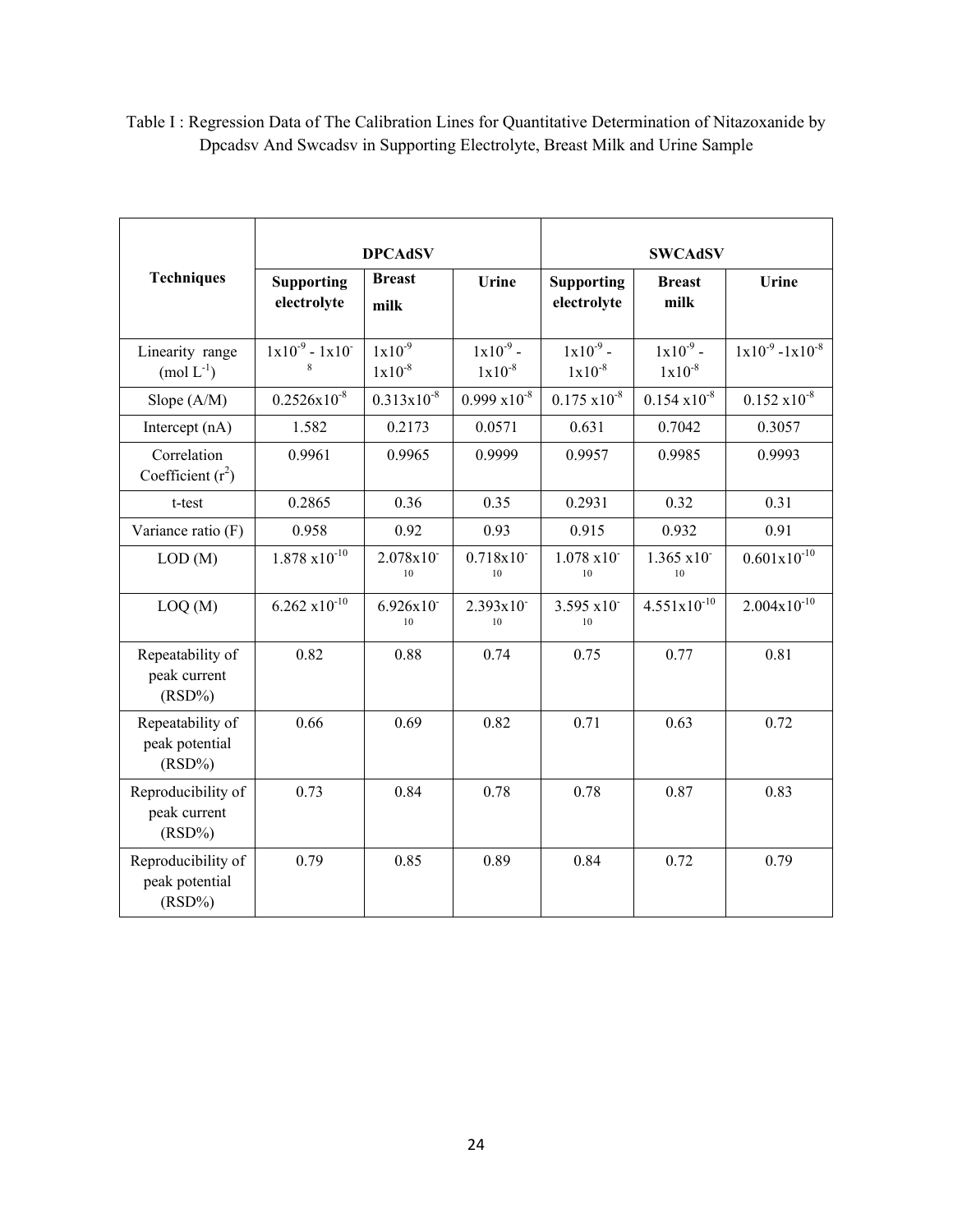|                                                   | <b>DPCAdSV</b>                                            |                            |                              | <b>SWCAdSV</b>                   |                              |                         |  |
|---------------------------------------------------|-----------------------------------------------------------|----------------------------|------------------------------|----------------------------------|------------------------------|-------------------------|--|
| <b>Techniques</b>                                 | <b>Breast</b><br><b>Supporting</b><br>electrolyte<br>milk |                            | Urine                        | <b>Supporting</b><br>electrolyte | <b>Breast</b><br>milk        | Urine                   |  |
| Linearity range<br>$(mod L-1)$                    | $1x10^{-9} - 1x10^{-7}$<br>8                              | $1x10^{-9}$<br>$1x10^{-8}$ | $1x10^{-9}$ -<br>$1x10^{-8}$ | $1x10^{-9}$ -<br>$1x10^{-8}$     | $1x10^{-9}$ -<br>$1x10^{-8}$ | $1x10^{-9} - 1x10^{-8}$ |  |
| Slope (A/M)                                       | $0.2526x10^{-8}$                                          | $0.313 \times 10^{-8}$     | $0.999 \times 10^{-8}$       | $0.175 \times 10^{-8}$           | $0.154 \times 10^{-8}$       | $0.152 \times 10^{-8}$  |  |
| Intercept (nA)                                    | 1.582                                                     | 0.2173                     | 0.0571                       | 0.631                            | 0.7042                       | 0.3057                  |  |
| Correlation<br>Coefficient $(r^2)$                | 0.9961                                                    | 0.9965                     | 0.9999                       | 0.9957                           | 0.9985                       | 0.9993                  |  |
| t-test                                            | 0.2865                                                    | 0.36                       | 0.35                         | 0.2931                           | 0.32                         | 0.31                    |  |
| Variance ratio (F)                                | 0.958                                                     | 0.92                       | 0.93                         | 0.915                            | 0.932                        | 0.91                    |  |
| LOD(M)                                            | $1.878 \times 10^{-10}$                                   | 2.078x10<br>10             | 0.718x10<br>10               | $1.078 \times 10^{-7}$<br>10     | 1.365 x10<br>10              | $0.601x10^{-10}$        |  |
| LOQ(M)                                            | $6.262 \times 10^{-10}$                                   | 6.926x10<br>10             | 2.393x10<br>10               | 3.595 x10<br>10                  | $4.551x10^{-10}$             | $2.004x10^{-10}$        |  |
| Repeatability of<br>peak current<br>$(RSD\%)$     | 0.82                                                      | 0.88                       | 0.74                         | 0.75                             | 0.77                         | 0.81                    |  |
| Repeatability of<br>peak potential<br>$(RSD\%)$   | 0.66                                                      | 0.69                       | 0.82                         | 0.71                             | 0.63                         | 0.72                    |  |
| Reproducibility of<br>peak current<br>$(RSD\%)$   | 0.73                                                      | 0.84                       | 0.78                         | 0.78                             | 0.87                         | 0.83                    |  |
| Reproducibility of<br>peak potential<br>$(RSD\%)$ | 0.79                                                      | 0.85                       | 0.89                         | 0.84                             | 0.72                         | 0.79                    |  |

Table I : Regression Data of The Calibration Lines for Quantitative Determination of Nitazoxanide by Dpcadsv And Swcadsv in Supporting Electrolyte, Breast Milk and Urine Sample